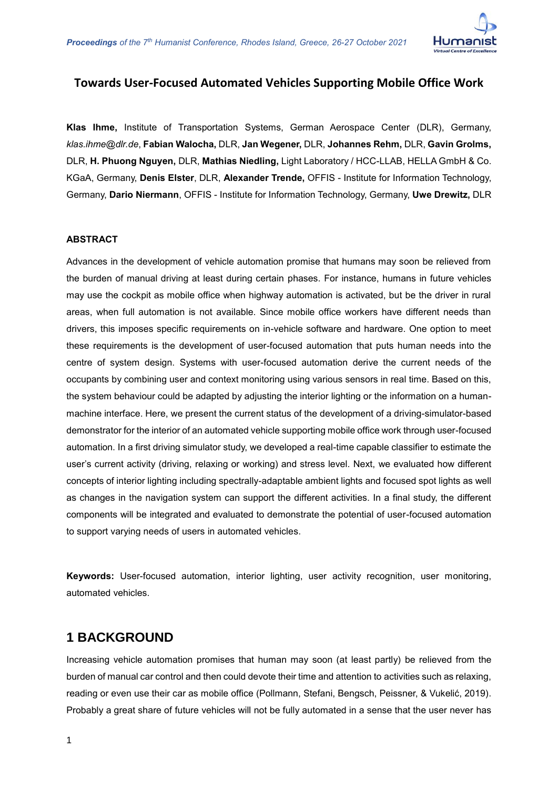

#### **Towards User-Focused Automated Vehicles Supporting Mobile Office Work**

**Klas Ihme,** Institute of Transportation Systems, German Aerospace Center (DLR), Germany, *klas.ihme@dlr.de*, **Fabian Walocha,** DLR, **Jan Wegener,** DLR, **Johannes Rehm,** DLR, **Gavin Grolms,**  DLR, **H. Phuong Nguyen,** DLR, **Mathias Niedling,** Light Laboratory / HCC-LLAB, HELLA GmbH & Co. KGaA, Germany, **Denis Elster**, DLR, **Alexander Trende,** OFFIS - Institute for Information Technology, Germany, **Dario Niermann**, OFFIS - Institute for Information Technology, Germany, **Uwe Drewitz,** DLR

#### **ABSTRACT**

Advances in the development of vehicle automation promise that humans may soon be relieved from the burden of manual driving at least during certain phases. For instance, humans in future vehicles may use the cockpit as mobile office when highway automation is activated, but be the driver in rural areas, when full automation is not available. Since mobile office workers have different needs than drivers, this imposes specific requirements on in-vehicle software and hardware. One option to meet these requirements is the development of user-focused automation that puts human needs into the centre of system design. Systems with user-focused automation derive the current needs of the occupants by combining user and context monitoring using various sensors in real time. Based on this, the system behaviour could be adapted by adjusting the interior lighting or the information on a humanmachine interface. Here, we present the current status of the development of a driving-simulator-based demonstrator for the interior of an automated vehicle supporting mobile office work through user-focused automation. In a first driving simulator study, we developed a real-time capable classifier to estimate the user's current activity (driving, relaxing or working) and stress level. Next, we evaluated how different concepts of interior lighting including spectrally-adaptable ambient lights and focused spot lights as well as changes in the navigation system can support the different activities. In a final study, the different components will be integrated and evaluated to demonstrate the potential of user-focused automation to support varying needs of users in automated vehicles.

**Keywords:** User-focused automation, interior lighting, user activity recognition, user monitoring, automated vehicles.

#### **1 BACKGROUND**

Increasing vehicle automation promises that human may soon (at least partly) be relieved from the burden of manual car control and then could devote their time and attention to activities such as relaxing, reading or even use their car as mobile office (Pollmann, Stefani, Bengsch, Peissner, & Vukelić, 2019). Probably a great share of future vehicles will not be fully automated in a sense that the user never has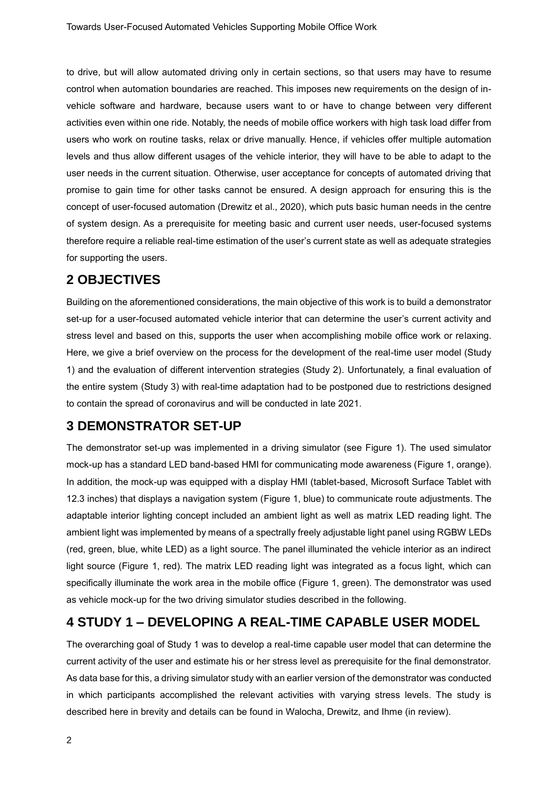to drive, but will allow automated driving only in certain sections, so that users may have to resume control when automation boundaries are reached. This imposes new requirements on the design of invehicle software and hardware, because users want to or have to change between very different activities even within one ride. Notably, the needs of mobile office workers with high task load differ from users who work on routine tasks, relax or drive manually. Hence, if vehicles offer multiple automation levels and thus allow different usages of the vehicle interior, they will have to be able to adapt to the user needs in the current situation. Otherwise, user acceptance for concepts of automated driving that promise to gain time for other tasks cannot be ensured. A design approach for ensuring this is the concept of user-focused automation (Drewitz et al., 2020), which puts basic human needs in the centre of system design. As a prerequisite for meeting basic and current user needs, user-focused systems therefore require a reliable real-time estimation of the user's current state as well as adequate strategies for supporting the users.

## **2 OBJECTIVES**

Building on the aforementioned considerations, the main objective of this work is to build a demonstrator set-up for a user-focused automated vehicle interior that can determine the user's current activity and stress level and based on this, supports the user when accomplishing mobile office work or relaxing. Here, we give a brief overview on the process for the development of the real-time user model (Study 1) and the evaluation of different intervention strategies (Study 2). Unfortunately, a final evaluation of the entire system (Study 3) with real-time adaptation had to be postponed due to restrictions designed to contain the spread of coronavirus and will be conducted in late 2021.

# **3 DEMONSTRATOR SET-UP**

The demonstrator set-up was implemented in a driving simulator (see [Figure 1\)](#page-2-0). The used simulator mock-up has a standard LED band-based HMI for communicating mode awareness [\(Figure 1,](#page-2-0) orange). In addition, the mock-up was equipped with a display HMI (tablet-based, Microsoft Surface Tablet with 12.3 inches) that displays a navigation system [\(Figure 1,](#page-2-0) blue) to communicate route adjustments. The adaptable interior lighting concept included an ambient light as well as matrix LED reading light. The ambient light was implemented by means of a spectrally freely adjustable light panel using RGBW LEDs (red, green, blue, white LED) as a light source. The panel illuminated the vehicle interior as an indirect light source [\(Figure 1,](#page-2-0) red). The matrix LED reading light was integrated as a focus light, which can specifically illuminate the work area in the mobile office [\(Figure 1,](#page-2-0) green). The demonstrator was used as vehicle mock-up for the two driving simulator studies described in the following.

# **4 STUDY 1 – DEVELOPING A REAL-TIME CAPABLE USER MODEL**

The overarching goal of Study 1 was to develop a real-time capable user model that can determine the current activity of the user and estimate his or her stress level as prerequisite for the final demonstrator. As data base for this, a driving simulator study with an earlier version of the demonstrator was conducted in which participants accomplished the relevant activities with varying stress levels. The study is described here in brevity and details can be found in Walocha, Drewitz, and Ihme (in review).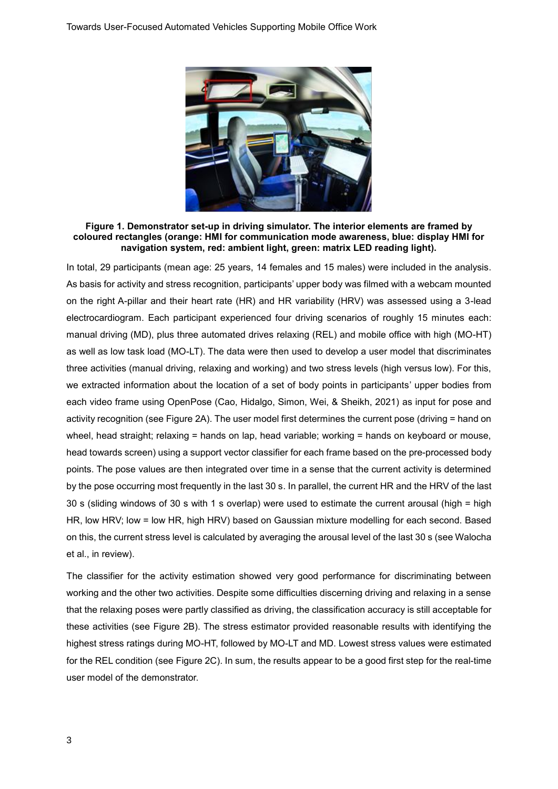

**Figure 1. Demonstrator set-up in driving simulator. The interior elements are framed by coloured rectangles (orange: HMI for communication mode awareness, blue: display HMI for navigation system, red: ambient light, green: matrix LED reading light).**

<span id="page-2-0"></span>In total, 29 participants (mean age: 25 years, 14 females and 15 males) were included in the analysis. As basis for activity and stress recognition, participants' upper body was filmed with a webcam mounted on the right A-pillar and their heart rate (HR) and HR variability (HRV) was assessed using a 3-lead electrocardiogram. Each participant experienced four driving scenarios of roughly 15 minutes each: manual driving (MD), plus three automated drives relaxing (REL) and mobile office with high (MO-HT) as well as low task load (MO-LT). The data were then used to develop a user model that discriminates three activities (manual driving, relaxing and working) and two stress levels (high versus low). For this, we extracted information about the location of a set of body points in participants' upper bodies from each video frame using OpenPose (Cao, Hidalgo, Simon, Wei, & Sheikh, 2021) as input for pose and activity recognition (see [Figure 2A](#page-3-0)). The user model first determines the current pose (driving = hand on wheel, head straight; relaxing = hands on lap, head variable; working = hands on keyboard or mouse, head towards screen) using a support vector classifier for each frame based on the pre-processed body points. The pose values are then integrated over time in a sense that the current activity is determined by the pose occurring most frequently in the last 30 s. In parallel, the current HR and the HRV of the last 30 s (sliding windows of 30 s with 1 s overlap) were used to estimate the current arousal (high = high HR, low HRV; low = low HR, high HRV) based on Gaussian mixture modelling for each second. Based on this, the current stress level is calculated by averaging the arousal level of the last 30 s (see Walocha et al., in review).

The classifier for the activity estimation showed very good performance for discriminating between working and the other two activities. Despite some difficulties discerning driving and relaxing in a sense that the relaxing poses were partly classified as driving, the classification accuracy is still acceptable for these activities (see [Figure 2B](#page-3-0)). The stress estimator provided reasonable results with identifying the highest stress ratings during MO-HT, followed by MO-LT and MD. Lowest stress values were estimated for the REL condition (see [Figure 2C](#page-3-0)). In sum, the results appear to be a good first step for the real-time user model of the demonstrator.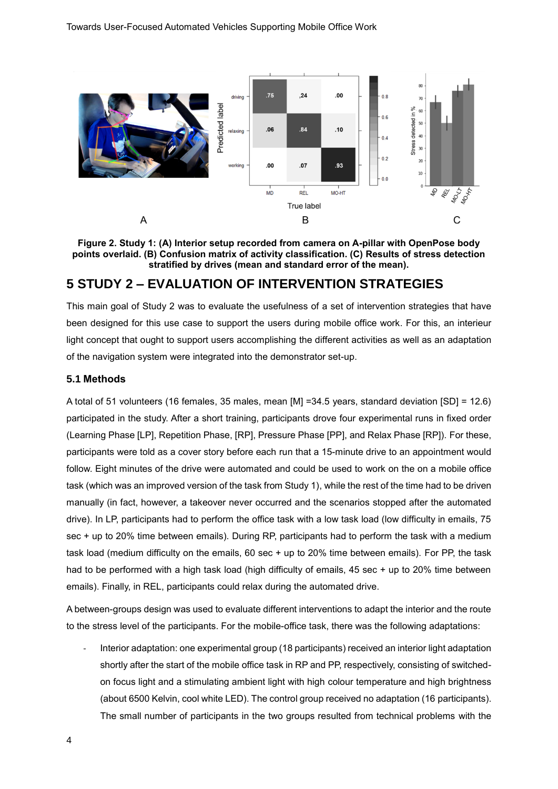

<span id="page-3-0"></span>**Figure 2. Study 1: (A) Interior setup recorded from camera on A-pillar with OpenPose body points overlaid. (B) Confusion matrix of activity classification. (C) Results of stress detection stratified by drives (mean and standard error of the mean).** 

## **5 STUDY 2 – EVALUATION OF INTERVENTION STRATEGIES**

This main goal of Study 2 was to evaluate the usefulness of a set of intervention strategies that have been designed for this use case to support the users during mobile office work. For this, an interieur light concept that ought to support users accomplishing the different activities as well as an adaptation of the navigation system were integrated into the demonstrator set-up.

#### **5.1 Methods**

A total of 51 volunteers (16 females, 35 males, mean [M] =34.5 years, standard deviation [SD] = 12.6) participated in the study. After a short training, participants drove four experimental runs in fixed order (Learning Phase [LP], Repetition Phase, [RP], Pressure Phase [PP], and Relax Phase [RP]). For these, participants were told as a cover story before each run that a 15-minute drive to an appointment would follow. Eight minutes of the drive were automated and could be used to work on the on a mobile office task (which was an improved version of the task from Study 1), while the rest of the time had to be driven manually (in fact, however, a takeover never occurred and the scenarios stopped after the automated drive). In LP, participants had to perform the office task with a low task load (low difficulty in emails, 75 sec + up to 20% time between emails). During RP, participants had to perform the task with a medium task load (medium difficulty on the emails, 60 sec + up to 20% time between emails). For PP, the task had to be performed with a high task load (high difficulty of emails, 45 sec + up to 20% time between emails). Finally, in REL, participants could relax during the automated drive.

A between-groups design was used to evaluate different interventions to adapt the interior and the route to the stress level of the participants. For the mobile-office task, there was the following adaptations:

Interior adaptation: one experimental group (18 participants) received an interior light adaptation shortly after the start of the mobile office task in RP and PP, respectively, consisting of switchedon focus light and a stimulating ambient light with high colour temperature and high brightness (about 6500 Kelvin, cool white LED). The control group received no adaptation (16 participants). The small number of participants in the two groups resulted from technical problems with the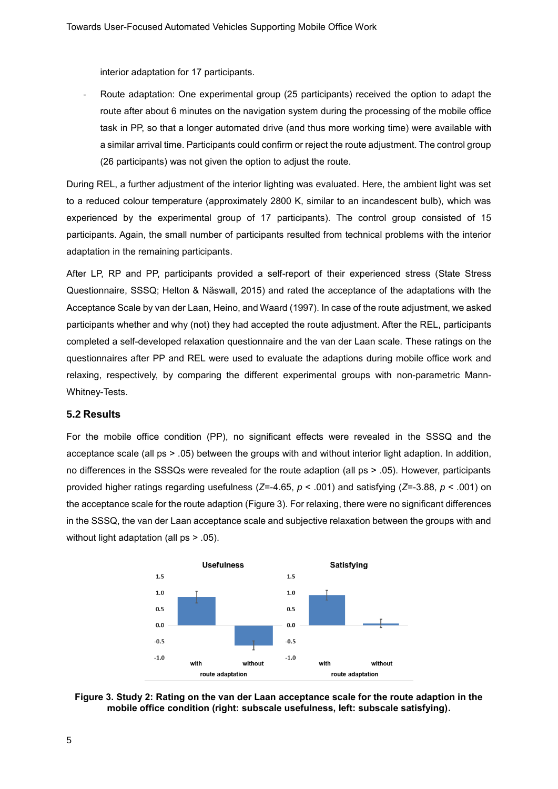interior adaptation for 17 participants.

Route adaptation: One experimental group (25 participants) received the option to adapt the route after about 6 minutes on the navigation system during the processing of the mobile office task in PP, so that a longer automated drive (and thus more working time) were available with a similar arrival time. Participants could confirm or reject the route adjustment. The control group (26 participants) was not given the option to adjust the route.

During REL, a further adjustment of the interior lighting was evaluated. Here, the ambient light was set to a reduced colour temperature (approximately 2800 K, similar to an incandescent bulb), which was experienced by the experimental group of 17 participants). The control group consisted of 15 participants. Again, the small number of participants resulted from technical problems with the interior adaptation in the remaining participants.

After LP, RP and PP, participants provided a self-report of their experienced stress (State Stress Questionnaire, SSSQ; Helton & Näswall, 2015) and rated the acceptance of the adaptations with the Acceptance Scale by van der Laan, Heino, and Waard (1997). In case of the route adjustment, we asked participants whether and why (not) they had accepted the route adjustment. After the REL, participants completed a self-developed relaxation questionnaire and the van der Laan scale. These ratings on the questionnaires after PP and REL were used to evaluate the adaptions during mobile office work and relaxing, respectively, by comparing the different experimental groups with non-parametric Mann-Whitney-Tests.

#### **5.2 Results**

For the mobile office condition (PP), no significant effects were revealed in the SSSQ and the acceptance scale (all ps > .05) between the groups with and without interior light adaption. In addition, no differences in the SSSQs were revealed for the route adaption (all ps > .05). However, participants provided higher ratings regarding usefulness (*Z*=-4.65, *p* < .001) and satisfying (*Z*=-3.88, *p* < .001) on the acceptance scale for the route adaption [\(Figure 3\)](#page-4-0). For relaxing, there were no significant differences in the SSSQ, the van der Laan acceptance scale and subjective relaxation between the groups with and without light adaptation (all ps > .05).



<span id="page-4-0"></span>**Figure 3. Study 2: Rating on the van der Laan acceptance scale for the route adaption in the mobile office condition (right: subscale usefulness, left: subscale satisfying).**